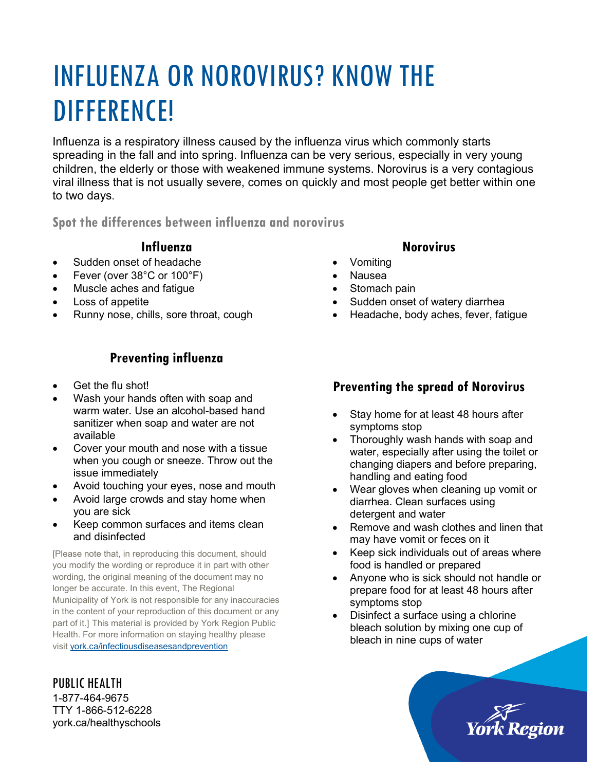# INFLUENZA OR NOROVIRUS? KNOW THE DIFFERENCE!

Influenza is a respiratory illness caused by the influenza virus which commonly starts spreading in the fall and into spring. Influenza can be very serious, especially in very young children, the elderly or those with weakened immune systems. Norovirus is a very contagious viral illness that is not usually severe, comes on quickly and most people get better within one to two days.

**Spot the differences between influenza and norovirus**

#### **Influenza**

- Sudden onset of headache
- Fever (over 38°C or 100°F)
- Muscle aches and fatigue
- Loss of appetite
- Runny nose, chills, sore throat, cough

### **Preventing influenza**

- Get the flu shot!
- Wash your hands often with soap and warm water. Use an alcohol-based hand sanitizer when soap and water are not available
- Cover your mouth and nose with a tissue when you cough or sneeze. Throw out the issue immediately
- Avoid touching your eyes, nose and mouth
- Avoid large crowds and stay home when you are sick
- Keep common surfaces and items clean and disinfected

[Please note that, in reproducing this document, should you modify the wording or reproduce it in part with other wording, the original meaning of the document may no longer be accurate. In this event, The Regional Municipality of York is not responsible for any inaccuracies in the content of your reproduction of this document or any part of it.] This material is provided by York Region Public Health. For more information on staying healthy please visit [york.ca/infectiousdiseasesandprevention](http://www.york.ca/infectiousdiseasesandprevention)

## PUBLIC HEALTH 1-877-464-9675

TTY 1-866-512-6228 york.ca/healthyschools

#### **Norovirus**

- Vomiting
- Nausea
- Stomach pain
- Sudden onset of watery diarrhea
- Headache, body aches, fever, fatigue

#### **Preventing the spread of Norovirus**

- Stay home for at least 48 hours after symptoms stop
- Thoroughly wash hands with soap and water, especially after using the toilet or changing diapers and before preparing, handling and eating food
- Wear gloves when cleaning up vomit or diarrhea. Clean surfaces using detergent and water
- Remove and wash clothes and linen that may have vomit or feces on it
- Keep sick individuals out of areas where food is handled or prepared
- Anyone who is sick should not handle or prepare food for at least 48 hours after symptoms stop
- Disinfect a surface using a chlorine bleach solution by mixing one cup of bleach in nine cups of water